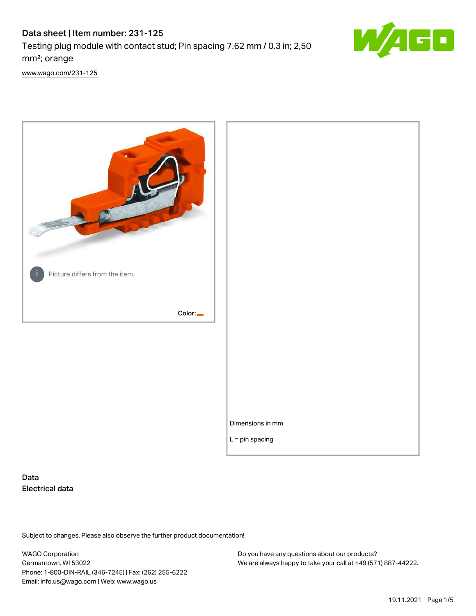# Data sheet | Item number: 231-125 Testing plug module with contact stud; Pin spacing 7.62 mm / 0.3 in; 2,50 mm²; orange



[www.wago.com/231-125](http://www.wago.com/231-125)



# Data Electrical data

Subject to changes. Please also observe the further product documentation!

WAGO Corporation Germantown, WI 53022 Phone: 1-800-DIN-RAIL (346-7245) | Fax: (262) 255-6222 Email: info.us@wago.com | Web: www.wago.us

Do you have any questions about our products? We are always happy to take your call at +49 (571) 887-44222.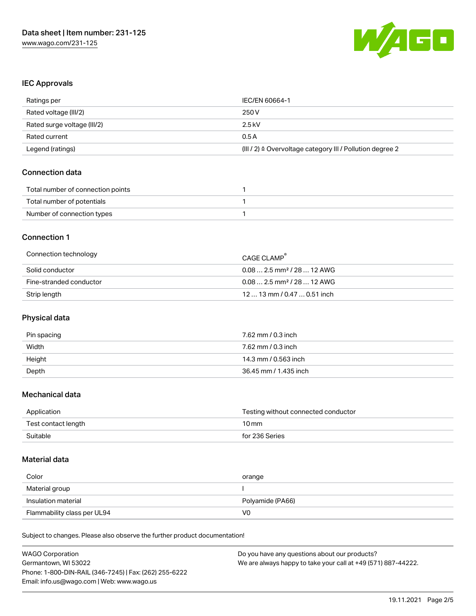

#### IEC Approvals

| Ratings per                 | IEC/EN 60664-1                                                       |
|-----------------------------|----------------------------------------------------------------------|
| Rated voltage (III/2)       | 250 V                                                                |
| Rated surge voltage (III/2) | 2.5 kV                                                               |
| Rated current               | 0.5A                                                                 |
| Legend (ratings)            | (III / 2) $\triangleq$ Overvoltage category III / Pollution degree 2 |

### Connection data

| Total number of connection points |  |
|-----------------------------------|--|
| Total number of potentials        |  |
| Number of connection types        |  |

### Connection 1

| Connection technology   | CAGE CLAMP                             |
|-------------------------|----------------------------------------|
| Solid conductor         | $0.082.5$ mm <sup>2</sup> / 28  12 AWG |
| Fine-stranded conductor | $0.082.5$ mm <sup>2</sup> / 28  12 AWG |
| Strip length            | $1213$ mm $/$ 0.47 $$ 0.51 inch        |

# Physical data

| Pin spacing | 7.62 mm / 0.3 inch    |
|-------------|-----------------------|
| Width       | 7.62 mm / 0.3 inch    |
| Height      | 14.3 mm / 0.563 inch  |
| Depth       | 36.45 mm / 1.435 inch |

### Mechanical data

| Application         | Testing without connected conductor |
|---------------------|-------------------------------------|
| Test contact length | $10 \,\mathrm{mm}$                  |
| Suitable            | for 236 Series                      |

#### Material data

| Color               | orange           |
|---------------------|------------------|
| Material group      |                  |
| Insulation material | Polyamide (PA66) |
|                     |                  |

Subject to changes. Please also observe the further product documentation!

| <b>WAGO Corporation</b>                                | Do you have any questions about our products?                 |  |
|--------------------------------------------------------|---------------------------------------------------------------|--|
| Germantown, WI 53022                                   | We are always happy to take your call at +49 (571) 887-44222. |  |
| Phone: 1-800-DIN-RAIL (346-7245)   Fax: (262) 255-6222 |                                                               |  |
| Email: info.us@wago.com   Web: www.wago.us             |                                                               |  |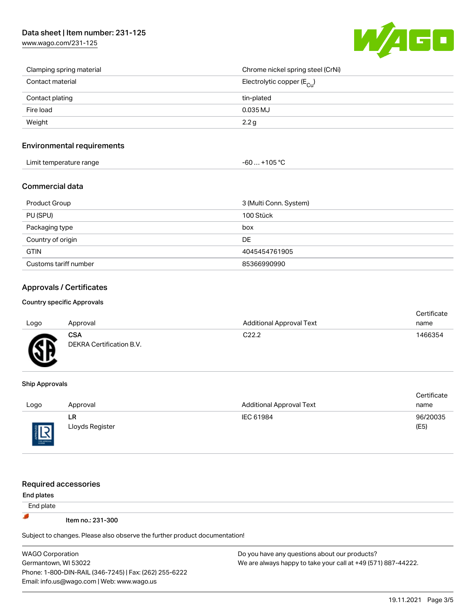# Data sheet | Item number: 231-125

[www.wago.com/231-125](http://www.wago.com/231-125)



| Clamping spring material | Chrome nickel spring steel (CrNi)       |
|--------------------------|-----------------------------------------|
| Contact material         | Electrolytic copper ( $E_{\text{Cu}}$ ) |
| Contact plating          | tin-plated                              |
| Fire load                | 0.035 MJ                                |
| Weight                   | 2.2 <sub>g</sub>                        |

#### Environmental requirements

| Limit temperature range | $-60+105 °C$ |
|-------------------------|--------------|
|-------------------------|--------------|

### Commercial data

| <b>Product Group</b>  | 3 (Multi Conn. System) |
|-----------------------|------------------------|
| PU (SPU)              | 100 Stück              |
| Packaging type        | box                    |
| Country of origin     | <b>DE</b>              |
| <b>GTIN</b>           | 4045454761905          |
| Customs tariff number | 85366990990            |

# Approvals / Certificates

#### Country specific Approvals

| Logo      | Approval                        | <b>Additional Approval Text</b> | Certificate<br>name |
|-----------|---------------------------------|---------------------------------|---------------------|
| <b>RE</b> | CSA<br>DEKRA Certification B.V. | C <sub>22.2</sub>               | 1466354             |

#### Ship Approvals

THE APPROVAL

|        |                 |                          | Certificate |
|--------|-----------------|--------------------------|-------------|
| Logo   | Approval        | Additional Approval Text | name        |
|        | LR              | IEC 61984                | 96/20035    |
| 旧      | Lloyds Register |                          | (E5)        |
| $\sim$ |                 |                          |             |

| <b>Required accessories</b>                                                |                                                               |  |  |  |
|----------------------------------------------------------------------------|---------------------------------------------------------------|--|--|--|
| End plates                                                                 |                                                               |  |  |  |
| End plate                                                                  |                                                               |  |  |  |
| Item no.: 231-300                                                          |                                                               |  |  |  |
| Subject to changes. Please also observe the further product documentation! |                                                               |  |  |  |
| <b>WAGO Corporation</b>                                                    | Do you have any questions about our products?                 |  |  |  |
| Germantown, WI 53022                                                       | We are always happy to take your call at +49 (571) 887-44222. |  |  |  |
| Phone: 1-800-DIN-RAIL (346-7245)   Fax: (262) 255-6222                     |                                                               |  |  |  |
| Email: info.us@wago.com   Web: www.wago.us                                 |                                                               |  |  |  |

19.11.2021 Page 3/5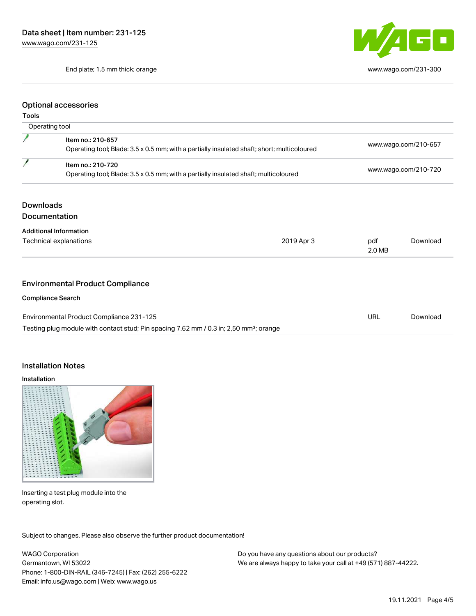End plate; 1.5 mm thick; orange [www.wago.com/231-300](http://www.wago.com/231-300)



#### Optional accessories

#### Tools

| Operating tool                                                                                     |                                                                                                                  |               |                      |  |
|----------------------------------------------------------------------------------------------------|------------------------------------------------------------------------------------------------------------------|---------------|----------------------|--|
|                                                                                                    | Item no.: 210-657<br>Operating tool; Blade: 3.5 x 0.5 mm; with a partially insulated shaft; short; multicoloured |               | www.wago.com/210-657 |  |
|                                                                                                    | Item no.: 210-720<br>Operating tool; Blade: 3.5 x 0.5 mm; with a partially insulated shaft; multicoloured        |               | www.wago.com/210-720 |  |
| <b>Downloads</b>                                                                                   | Documentation                                                                                                    |               |                      |  |
|                                                                                                    | <b>Additional Information</b>                                                                                    |               |                      |  |
|                                                                                                    | Technical explanations<br>2019 Apr 3                                                                             | pdf<br>2.0 MB | Download             |  |
|                                                                                                    |                                                                                                                  |               |                      |  |
| <b>Environmental Product Compliance</b>                                                            |                                                                                                                  |               |                      |  |
|                                                                                                    | <b>Compliance Search</b>                                                                                         |               |                      |  |
|                                                                                                    | Environmental Product Compliance 231-125                                                                         | <b>URL</b>    | Download             |  |
| Testing plug module with contact stud; Pin spacing 7.62 mm / 0.3 in; 2,50 mm <sup>2</sup> ; orange |                                                                                                                  |               |                      |  |

#### Installation Notes

#### Installation



Inserting a test plug module into the operating slot.

Subject to changes. Please also observe the further product documentation!

WAGO Corporation Germantown, WI 53022 Phone: 1-800-DIN-RAIL (346-7245) | Fax: (262) 255-6222 Email: info.us@wago.com | Web: www.wago.us

Do you have any questions about our products? We are always happy to take your call at +49 (571) 887-44222.